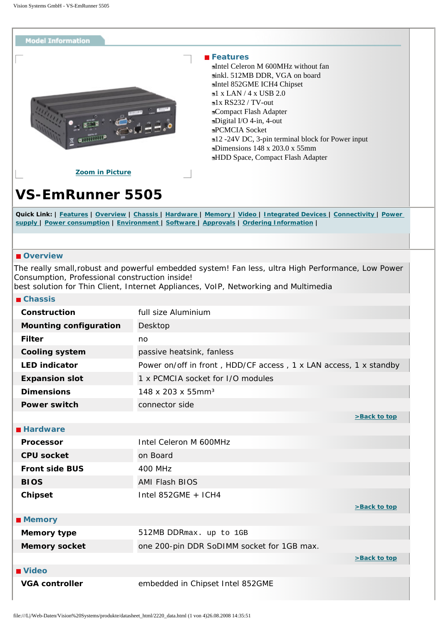<span id="page-0-6"></span><span id="page-0-0"></span>

## **Features**

Intel Celeron M 600MHz without fan inkl. 512MB DDR, VGA on board Intel 852GME ICH4 Chipset  $1 x$  LAN  $/4 x$  USB 2.0  $\blacksquare$ 1x RS232 / TV-out Compact Flash Adapter Digital I/O 4-in, 4-out PCMCIA Socket 12 -24V DC, 3-pin terminal block for Power input Dimensions 148 x 203.0 x 55mm HDD Space, Compact Flash Adapter

**[Zoom in Picture](#page-3-0)**

## **VS-EmRunner 5505**

Quick Link: | [Features](#page-0-0) | [Overview](#page-0-1) | [Chassis](#page-0-2) | [Hardware](#page-0-3) | [Memory](#page-0-4) | [Video](#page-0-5) | [Integrated Devices](#page-1-0) | [Connectivity](#page-1-1) | Power **[supply](#page-1-2) | [Power consumption](#page-1-3) | [Environment](#page-1-4) | [Software](#page-2-0) | [Approvals](#page-2-1) | [Ordering Information](#page-2-2) |**

## <span id="page-0-1"></span>*Overview*

The really small,robust and powerful embedded system! Fan less, ultra High Performance, Low Power Consumption, Professional construction inside!

best solution for Thin Client, Internet Appliances, VoIP, Networking and Multimedia

<span id="page-0-5"></span><span id="page-0-4"></span><span id="page-0-3"></span><span id="page-0-2"></span>

| <b>■ Chassis</b>              |                                                                   |              |
|-------------------------------|-------------------------------------------------------------------|--------------|
| <b>Construction</b>           | full size Aluminium                                               |              |
| <b>Mounting configuration</b> | Desktop                                                           |              |
| <b>Filter</b>                 | no                                                                |              |
| <b>Cooling system</b>         | passive heatsink, fanless                                         |              |
| <b>LED indicator</b>          | Power on/off in front, HDD/CF access, 1 x LAN access, 1 x standby |              |
| <b>Expansion slot</b>         | 1 x PCMCIA socket for I/O modules                                 |              |
| <b>Dimensions</b>             | 148 x 203 x 55mm <sup>3</sup>                                     |              |
| <b>Power switch</b>           | connector side                                                    |              |
|                               |                                                                   | >Back to top |
| <b>Hardware</b>               |                                                                   |              |
| <b>Processor</b>              | Intel Celeron M 600MHz                                            |              |
| <b>CPU socket</b>             | on Board                                                          |              |
| <b>Front side BUS</b>         | <b>400 MHz</b>                                                    |              |
| <b>BIOS</b>                   | <b>AMI Flash BIOS</b>                                             |              |
| <b>Chipset</b>                | Intel 852GME $+$ ICH4                                             |              |
|                               |                                                                   | >Back to top |
| <b>Memory</b>                 |                                                                   |              |
| <b>Memory type</b>            | 512MB DDRmax. up to 1GB                                           |              |
| <b>Memory socket</b>          | one 200-pin DDR SoDIMM socket for 1GB max.                        |              |
|                               |                                                                   | >Back to top |
| <b>■ Video</b>                |                                                                   |              |
| <b>VGA controller</b>         | embedded in Chipset Intel 852GME                                  |              |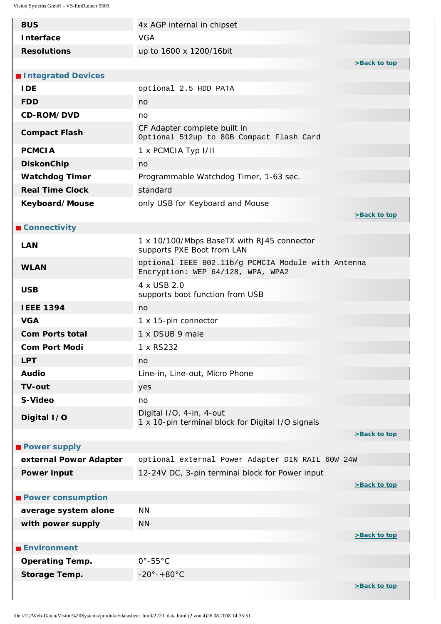<span id="page-1-4"></span><span id="page-1-3"></span><span id="page-1-2"></span><span id="page-1-1"></span><span id="page-1-0"></span>

| <b>BUS</b>               | 4x AGP internal in chipset                                                              |              |
|--------------------------|-----------------------------------------------------------------------------------------|--------------|
| <b>Interface</b>         | <b>VGA</b>                                                                              |              |
| <b>Resolutions</b>       | up to 1600 x 1200/16bit                                                                 |              |
|                          |                                                                                         | >Back to top |
| Integrated Devices       |                                                                                         |              |
| <b>IDE</b>               | optional 2.5 HDD PATA                                                                   |              |
| <b>FDD</b>               | no                                                                                      |              |
| CD-ROM/DVD               | no                                                                                      |              |
| <b>Compact Flash</b>     | CF Adapter complete built in<br>Optional 512up to 8GB Compact Flash Card                |              |
| <b>PCMCIA</b>            | 1 x PCMCIA Typ I/II                                                                     |              |
| <b>DiskonChip</b>        | no                                                                                      |              |
| <b>Watchdog Timer</b>    | Programmable Watchdog Timer, 1-63 sec.                                                  |              |
| <b>Real Time Clock</b>   | standard                                                                                |              |
| Keyboard/Mouse           | only USB for Keyboard and Mouse                                                         |              |
|                          |                                                                                         | >Back to top |
| <b>■ Connectivity</b>    |                                                                                         |              |
| <b>LAN</b>               | 1 x 10/100/Mbps BaseTX with RJ45 connector<br>supports PXE Boot from LAN                |              |
| <b>WLAN</b>              | optional IEEE 802.11b/g PCMCIA Module with Antenna<br>Encryption: WEP 64/128, WPA, WPA2 |              |
| <b>USB</b>               | 4 x USB 2.0<br>supports boot function from USB                                          |              |
| <b>IEEE 1394</b>         | no                                                                                      |              |
| <b>VGA</b>               | 1 x 15-pin connector                                                                    |              |
| <b>Com Ports total</b>   | 1 x DSUB 9 male                                                                         |              |
| <b>Com Port Modi</b>     | 1 x RS232                                                                               |              |
| <b>LPT</b>               | no                                                                                      |              |
| <b>Audio</b>             | Line-in, Line-out, Micro Phone                                                          |              |
| <b>TV-out</b>            | yes                                                                                     |              |
| S-Video                  | no                                                                                      |              |
| Digital I/O              | Digital I/O, 4-in, 4-out<br>1 x 10-pin terminal block for Digital I/O signals           |              |
|                          |                                                                                         | >Back to top |
| <b>Power supply</b>      |                                                                                         |              |
| external Power Adapter   | optional external Power Adapter DIN RAIL 60W 24W                                        |              |
| <b>Power input</b>       | 12-24V DC, 3-pin terminal block for Power input                                         |              |
|                          |                                                                                         | >Back to top |
| <b>Power consumption</b> |                                                                                         |              |
| average system alone     | <b>NN</b>                                                                               |              |
| with power supply        | <b>NN</b>                                                                               |              |
| <b>Environment</b>       |                                                                                         | >Back to top |
|                          | $0^\circ - 55^\circ C$                                                                  |              |
| <b>Operating Temp.</b>   | $-20^\circ - +80^\circ C$                                                               |              |
| <b>Storage Temp.</b>     |                                                                                         | >Back to top |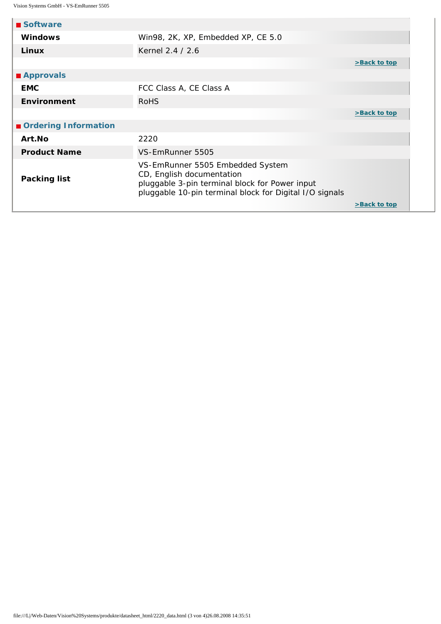<span id="page-2-2"></span><span id="page-2-1"></span><span id="page-2-0"></span>

| ■ Software           |                                                                                                                                                                            |  |              |
|----------------------|----------------------------------------------------------------------------------------------------------------------------------------------------------------------------|--|--------------|
| <b>Windows</b>       | Win98, 2K, XP, Embedded XP, CE 5.0                                                                                                                                         |  |              |
| Linux                | Kernel 2.4 / 2.6                                                                                                                                                           |  |              |
|                      |                                                                                                                                                                            |  | >Back to top |
| ■ Approvals          |                                                                                                                                                                            |  |              |
| <b>EMC</b>           | FCC Class A, CE Class A                                                                                                                                                    |  |              |
| <b>Environment</b>   | <b>RoHS</b>                                                                                                                                                                |  |              |
|                      |                                                                                                                                                                            |  | >Back to top |
| Ordering Information |                                                                                                                                                                            |  |              |
| Art.No               | 2220                                                                                                                                                                       |  |              |
| <b>Product Name</b>  | VS-EmRunner 5505                                                                                                                                                           |  |              |
| <b>Packing list</b>  | VS-EmRunner 5505 Embedded System<br>CD, English documentation<br>pluggable 3-pin terminal block for Power input<br>pluggable 10-pin terminal block for Digital I/O signals |  |              |
|                      |                                                                                                                                                                            |  | >Back to top |